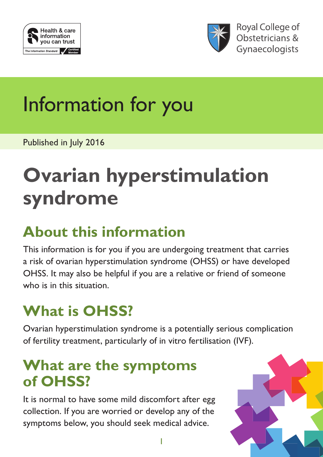



**Royal College of** Obstetricians & Gynaecologists

# Information for you

Published in July 2016

# **Ovarian hyperstimulation syndrome**

#### **About this information**

This information is for you if you are undergoing treatment that carries a risk of ovarian hyperstimulation syndrome (OHSS) or have developed OHSS. It may also be helpful if you are a relative or friend of someone who is in this situation.

## **What is OHSS?**

Ovarian hyperstimulation syndrome is a potentially serious complication of fertility treatment, particularly of in vitro fertilisation (IVF).

#### **What are the symptoms of OHSS?**

It is normal to have some mild discomfort after egg collection. If you are worried or develop any of the symptoms below, you should seek medical advice.

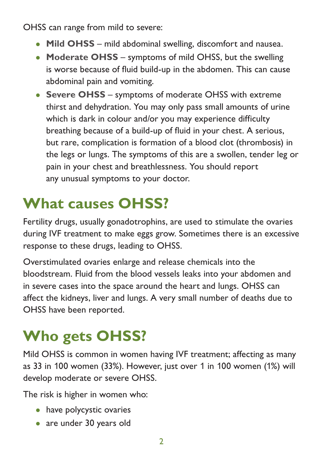OHSS can range from mild to severe:

- **Mild OHSS** mild abdominal swelling, discomfort and nausea.
- **Moderate OHSS** symptoms of mild OHSS, but the swelling is worse because of fluid build-up in the abdomen. This can cause abdominal pain and vomiting.
- **Severe OHSS** symptoms of moderate OHSS with extreme thirst and dehydration. You may only pass small amounts of urine which is dark in colour and/or you may experience difficulty breathing because of a build-up of fluid in your chest. A serious, but rare, complication is formation of a blood clot (thrombosis) in the legs or lungs. The symptoms of this are a swollen, tender leg or pain in your chest and breathlessness. You should report any unusual symptoms to your doctor.

### **What causes OHSS?**

Fertility drugs, usually gonadotrophins, are used to stimulate the ovaries during IVF treatment to make eggs grow. Sometimes there is an excessive response to these drugs, leading to OHSS.

Overstimulated ovaries enlarge and release chemicals into the bloodstream. Fluid from the blood vessels leaks into your abdomen and in severe cases into the space around the heart and lungs. OHSS can affect the kidneys, liver and lungs. A very small number of deaths due to OHSS have been reported.

## **Who gets OHSS?**

Mild OHSS is common in women having IVF treatment; affecting as many as 33 in 100 women (33%). However, just over 1 in 100 women (1%) will develop moderate or severe OHSS.

The risk is higher in women who:

- have polycystic ovaries
- are under 30 years old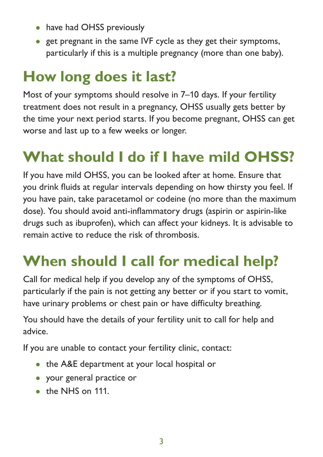- have had OHSS previously
- get pregnant in the same IVF cycle as they get their symptoms, particularly if this is a multiple pregnancy (more than one baby).

#### **How long does it last?**

Most of your symptoms should resolve in 7–10 days. If your fertility treatment does not result in a pregnancy, OHSS usually gets better by the time your next period starts. If you become pregnant, OHSS can get worse and last up to a few weeks or longer.

#### **What should I do if I have mild OHSS?**

If you have mild OHSS, you can be looked after at home. Ensure that you drink fluids at regular intervals depending on how thirsty you feel. If you have pain, take paracetamol or codeine (no more than the maximum dose). You should avoid anti-inflammatory drugs (aspirin or aspirin-like drugs such as ibuprofen), which can affect your kidneys. It is advisable to remain active to reduce the risk of thrombosis.

#### **When should I call for medical help?**

Call for medical help if you develop any of the symptoms of OHSS, particularly if the pain is not getting any better or if you start to vomit, have urinary problems or chest pain or have difficulty breathing.

You should have the details of your fertility unit to call for help and advice.

If you are unable to contact your fertility clinic, contact:

- the A&E department at your local hospital or
- your general practice or
- the NHS on 111.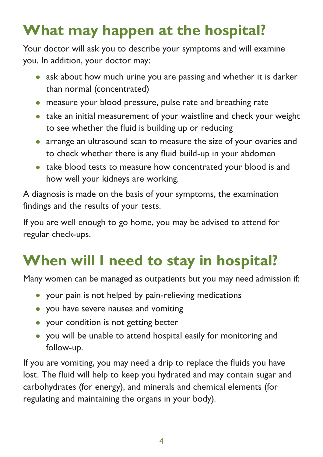## **What may happen at the hospital?**

Your doctor will ask you to describe your symptoms and will examine you. In addition, your doctor may:

- ask about how much urine you are passing and whether it is darker than normal (concentrated)
- measure your blood pressure, pulse rate and breathing rate
- take an initial measurement of your waistline and check your weight to see whether the fluid is building up or reducing
- arrange an ultrasound scan to measure the size of your ovaries and to check whether there is any fluid build-up in your abdomen
- take blood tests to measure how concentrated your blood is and how well your kidneys are working.

A diagnosis is made on the basis of your symptoms, the examination findings and the results of your tests.

If you are well enough to go home, you may be advised to attend for regular check-ups.

## **When will I need to stay in hospital?**

Many women can be managed as outpatients but you may need admission if:

- your pain is not helped by pain-relieving medications
- you have severe nausea and vomiting
- your condition is not getting better
- you will be unable to attend hospital easily for monitoring and follow-up.

If you are vomiting, you may need a drip to replace the fluids you have lost. The fluid will help to keep you hydrated and may contain sugar and carbohydrates (for energy), and minerals and chemical elements (for regulating and maintaining the organs in your body).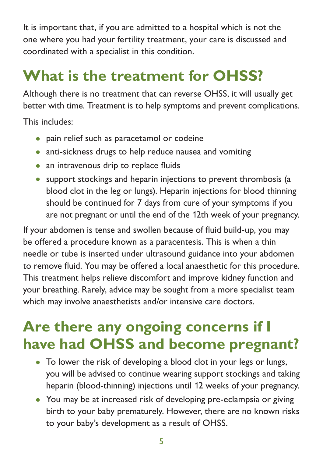It is important that, if you are admitted to a hospital which is not the one where you had your fertility treatment, your care is discussed and coordinated with a specialist in this condition.

## **What is the treatment for OHSS?**

Although there is no treatment that can reverse OHSS, it will usually get better with time. Treatment is to help symptoms and prevent complications.

This includes:

- pain relief such as paracetamol or codeine
- anti-sickness drugs to help reduce nausea and vomiting
- an intravenous drip to replace fluids
- support stockings and heparin injections to prevent thrombosis (a blood clot in the leg or lungs). Heparin injections for blood thinning should be continued for 7 days from cure of your symptoms if you are not pregnant or until the end of the 12th week of your pregnancy.

If your abdomen is tense and swollen because of fluid build-up, you may be offered a procedure known as a paracentesis. This is when a thin needle or tube is inserted under ultrasound guidance into your abdomen to remove fluid. You may be offered a local anaesthetic for this procedure. This treatment helps relieve discomfort and improve kidney function and your breathing. Rarely, advice may be sought from a more specialist team which may involve anaesthetists and/or intensive care doctors.

#### **Are there any ongoing concerns if I have had OHSS and become pregnant?**

- To lower the risk of developing a blood clot in your legs or lungs, you will be advised to continue wearing support stockings and taking heparin (blood-thinning) injections until 12 weeks of your pregnancy.
- You may be at increased risk of developing pre-eclampsia or giving birth to your baby prematurely. However, there are no known risks to your baby's development as a result of OHSS.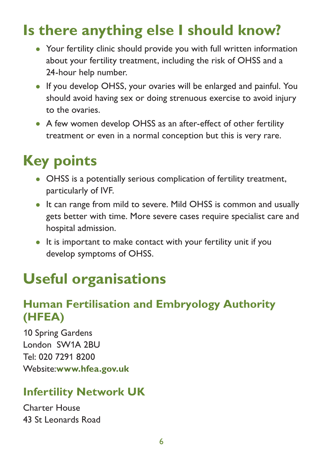#### **Is there anything else I should know?**

- Your fertility clinic should provide you with full written information about your fertility treatment, including the risk of OHSS and a 24-hour help number.
- If you develop OHSS, your ovaries will be enlarged and painful. You should avoid having sex or doing strenuous exercise to avoid injury to the ovaries.
- A few women develop OHSS as an after-effect of other fertility treatment or even in a normal conception but this is very rare.

#### **Key points**

- OHSS is a potentially serious complication of fertility treatment, particularly of IVF.
- It can range from mild to severe. Mild OHSS is common and usually gets better with time. More severe cases require specialist care and hospital admission.
- It is important to make contact with your fertility unit if you develop symptoms of OHSS.

#### **Useful organisations**

#### **Human Fertilisation and Embryology Authority (HFEA)**

10 Spring Gardens London SW1A 2BU Tel: 020 7291 8200 Website:**[www.hfea.gov.uk](http://www.hfea.gov.uk/)**

#### **Infertility Network UK**

Charter House 43 St Leonards Road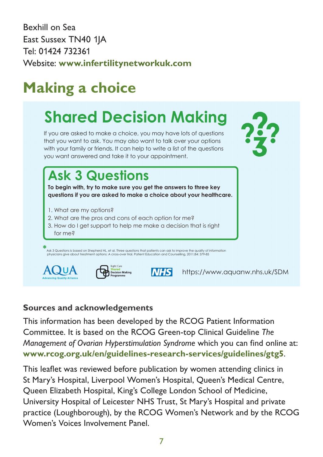Bexhill on Sea about your healthcare. When the choices to make about your healthcare. East Sussex TN40 1JA Tel: 01424 732361 Website: **[www.infertilitynetworkuk.com](http://www.infertilitynetworkuk.com/)**  $H$ i veze treatment treatment treatment treatment treatment treatment treatment treatment treatment treatment treatment treatment treatment treatment treatment treatment treatment treatment treatment treatment treatment t

 $\mathbf{r}$  to choose between different types between different types  $\mathbf{r}$ 

#### **Making a choice Shared Decision** aking a choice

#### Shared Decision Making **Care programme** to promote shared and **What you choose to do should depend on what is important to you.**

If you are asked to make a choice, you may have lots of questions that you want to ask. You may also want to talk over your options with your family or friends. It can help to write a list of the questions you want answered and take it to your appointment.

What are the **pros** and **cons** of each option for me? How do I get support to healthcare. **"I asked 3 Questions..."**

that is **right for me**?

#### **Ask 3 Questions**

**To begin with, try to make sure you get the answers to three key questions if you are asked to make a choice about your healthcare.**

- 1. What are my options?
- 2. What are the pros and cons of each option for me?
- 3. How do I get support to help me make a decision that is right for me?

priysicians give about irealment **\***<br>Ask 3 Questions is based on Shepherd HL, et al. Three questions that patients can ask to improve the quality of information<br>physicians give about treatment options: A cross-over trial. Patient Education and Counsellin





**NHS** 

**What's it all about?** <https://www.aquanw.nhs.uk/SDM>

#### **Sources and acknowledgements**

This information has been developed by the RCOG Patient Information Committee. It is based on the RCOG Green-top Clinical Guideline *The Management of Ovarian Hyperstimulation Syndrome* which you can find online at: **[www.rcog.org.uk/en/guidelines-research-services/guidelines/gtg5](https://www.rcog.org.uk/en/guidelines-research-services/guidelines/gtg5/)**.

This leaflet was reviewed before publication by women attending clinics in St Mary's Hospital, Liverpool Women's Hospital, Queen's Medical Centre, Queen Elizabeth Hospital, King's College London School of Medicine, University Hospital of Leicester NHS Trust, St Mary's Hospital and private practice (Loughborough), by the RCOG Women's Network and by the RCOG Women's Voices Involvement Panel.